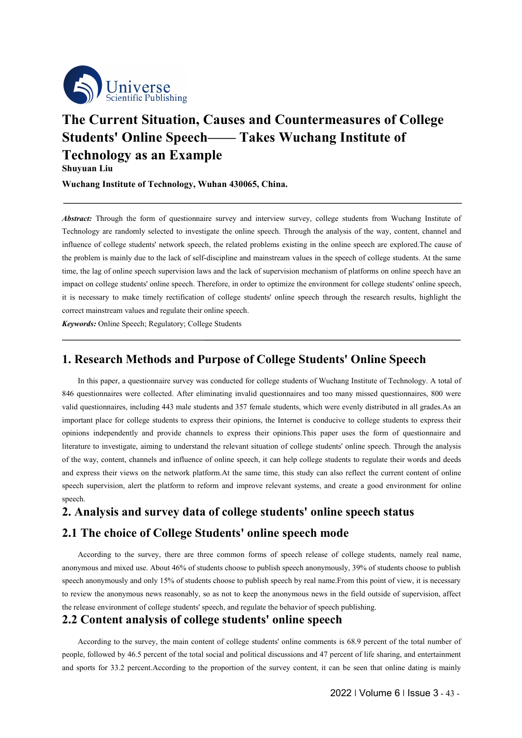

# **The Current Situation, Causes and Countermeasures of College**<br> **The Current Situation, Causes and Countermeasures of College**<br> **Students' Online Speech—— Takes Wuchang Institute of<br>
Technology as an Example**<br> **Shuyuan Li Structure Structure Constrainers Structure Structure Sections**<br> **Students' Online Speech—— Takes Wuchang Institute of**<br> **Technology as an Example**<br>
Shuyuan Liu<br>
Wuchang Institute of Technology, Wuhan 430065, China. **The Current Situation, Causes and Countermeasures (Students' Online Speech — Takes Wuchang Institute Technology as an Example Shuyuan Liu<br>Wuchang Institute of Technology, Wuhan 430065, China.<br>Abstract: Through the form of Solution**<br>
Solution Scientific Publishing<br>
The Current Situation, Causes<br>
Students' Online Speech—-<br>
Technology as an Example<br>
Shuyuan Liu<br>
Wuchang Institute of Technology, Wuhan 430 **We are the Current Situation, Causes and Countermeasures of C<br>Students' Online Speech—— Takes Wuchang Institute of<br>Technology as an Example<br>Shuyuan Liu<br>Wuchang Institute of Technology, Wuhan 430065, China.**<br>Abstract: Thro **The Current Situation, Causes and Countermeasures of College<br>
Students' Online Speech—— Takes Wuchang Institute of<br>
Technology as an Example<br>
Shuyuan Liu<br>
Wuchang Institute of Technology, Wuhan 430065, China.<br>** *Abstract:*

The Current Situation, Causes and Countermeasures of College<br>
Students' Online Speech——— Takes Wuchang Institute of<br>
Technology as an Example<br>
Shuyuan Liu<br>
Wuchang Institute of Technology, Wuhan 430065, China.<br>
Abstract: T **Students' Online Speech——— Takes Wuchang Institute of**<br> **Technology as an Example**<br> **Shuyuan Liu**<br> **Wuchang Institute of Technology, Wuhan 430065, China.**<br> *Abstract:* Through the form of questionnaire survey and intervie **Technology as an Example**<br> **Technology as an Example**<br> **Shuyuan Liu**<br> **Wuchang Institute of Technology, Wuhan 430065, China.**<br> *Abstract:* Through the form of questionnaire survey and interview survey, college students fr **I eChnology as an Example**<br> **Shuyuan Liu**<br> **Wuchang Institute of Technology, Wuhan 430065, China.**<br> **Abstract:** Through the form of questionnaire survey and interview survey, college students from Wuchang Institute of<br>
Te **Shuyuan Liu**<br> **Wuchang Institute of Technology, Wuhan 430065, China.**<br> **Abstract:** Through the form of questionnaire survey and interview survey, college students from Wuchang Institute of<br>
Technology are randomly selecte **Wuchang Institute of Technology, Wuhan 430065, China.**<br> *Abstract:* **Through the form of questionnaire survey and interview survey, college students from Wuchang Institute of<br>
Technology are randomly selected to investig Abstract:** Through the form of questionnaire survey and interview survey, college st Technology are randomly selected to investigate the online speech. Through the analysis influence of college students' network speech, t *Abstract:* Through the form of questionnaire survey and interview survey, college Technology are randomly selected to investigate the online speech. Through the anamifuluence of college students' network speech, the relat **Exerch Methods and Purpose of College Students'** online Speeching and the must also and the environment and the speechinology are madomly selected to investigate the online speech. Through the analysis of the way, content the lag of online speech supervision laws and the lack of supervision mechanism of platforms on online speech have an et or college students' online speech, necessary to make timely rectification of college students' onlin

impact on college students' online speech. Therefore, in order to optimize the environment for college students' online speech,<br>it is necessary to make timely rectification of college students' online speech through the re it is necessary to make timely rectification of college students' online speech through the research results, highlight the correct mainstream values and regulate their online speech.<br> **Keywords:** Online Speech; Regulatory **Express Express Alternation** Subsectionaries and regulate their online speech.<br> **I. Research Methods and Purpose of College Students' Online Speech**<br>
In this paper, a questionnaire survey was conducted for college student **Exprords:** Online Speech; Regulatory; College Students<br> **1. Research Methods and Purpose of College Students' Online Speech**<br>
In this paper, a questionnaire survey was conducted for college students of Wuchang Institute o **1. Research Methods and Purpose of College Students' Online Speech**<br>In this paper, a questionnaire survey was conducted for college students of Wuchang Institute of Technology. A total of<br>846 questionnaires were collected **1. Research Methods and Purpose of College Students' Online Speech**<br>In this paper, a questionnaire survey was conducted for college students of Wuchang Institute of Technology. A total of<br>846 questionnaires were collected **1. Research Methods and Purpose of College Students' Online Speech**<br>In this paper, a questionnaire survey was conducted for college students of Wuchang Institute of Technology. A total of<br>846 questionnaires were collected In this paper, a questionnaire survey was conducted for college students of Wuchang Institute of Technology. A total of questionnaires were collected. After eliminating invalid questionnaires and too many missed questionna speech. **2. Analysis and survey data of college students' online speech** analysis and survey was conducted for college students of Wuchang Institute of Technology. A total of 846 questionnaires were collected. After eliminating im **2. Analysis and stand Purpose of College Students' Online Speech**<br>
In this paper, a questionnaire survey was conducted for college sudents of Wuchang Institute of Technology. A total of<br>
846 questionnaires were collected. the total survey and the release of college students of college students.<br>
According to understand the relevant situation of college students' online speech. Through the analysis<br>
e way, content, channels and influence of symmans amaly unally over cunnels to expects uncer the phrass are pair on the question of college students' online speech. Through the malysis of the way, content, channels and influence of online speech, it can help colle

of college students, namely real name,<br>nously, 39% of students choose to publish<br>ne.From this point of view, it is necessary<br>in the field outside of supervision, affect<br>ech publishing.<br>**Ch**<br>ats is 68.9 percent of the total of the way, content, channels and influence of online speech, it can help college students to regulate their words and deeds<br>and express their views on the network platform. At the same time, this study can also reflect th and express their views on the network platform. At the same time, this study can also reflect the current content of online<br>speech supervision, alert the platform to reform and improve relevant systems, and create a good speech supervision, alert the platform to reform and improve relevant systems, and create a good environment for online<br>speech.<br>**2. Analysis and survey data of college students' online speech status**<br>**2.1 The choice of Col 2.2 Content analysis of college students' online speech status**<br> **2.1 The choice of College Students' online speech mode**<br>
According to the survey, there are three common forms of speech release of college students, namel The choice of College Students' online speech mode<br>According to the survey, there are three common forms of speech release of college students, namely real name,<br>ymous and mixed use. About 46% of students choose to publish and the survey of the survey, there are three common forms of speech release of college students, namely real name,<br>anonymous and mixed use. About 46% of students choose to publish speech anonymously, 39% of students choos According to the survey, there are three common forms of speech release of college students, namely real name,<br>anonymous and mixed use. About 46% of students choose to publish speech anonymously, 39% of students choose to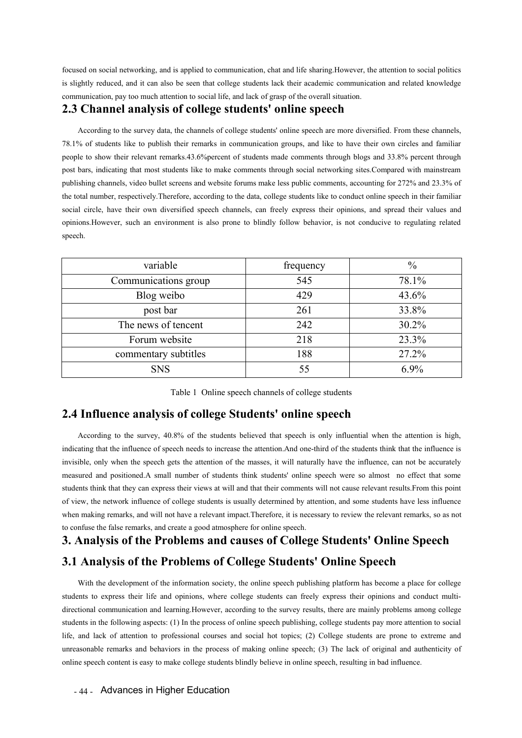focused on social networking, and is applied to communication, chat and life sharing. However, the attention to social politics<br>is slightly reduced, and it can also be seen that college students lack their academic communi focused on social networking, and is applied to communication, chat and life sharing.However, the attention to social politics<br>is slightly reduced, and it can also be seen that college students lack their academic communic Fraces of oscial networking, and is applied to communication, chat and life sharing. However, the attention to social political is slightly reduced, and it can also be seen that college students lack their academic communi

**2.3 Channel analysis of college students and server, the attention to social politics**<br>
2.3 Channel and it can also be seen that college students lack their academic communication and related knowledge<br> **2.3 Channel analy** Example of original intervals, and is applied to communication, chat and life sharing. However, the attention to social politics ghtty reduced, and it can also be seen that college students lack their academic communicatio focused on social networking, and is applied to communication, chat and life sharing. However, the attention to social politics<br>is slightly reduced, and it can also be seen that college students lack their academic communi focused on social networking, and is applied to communication, chat and life sharing. However, the attention to social politics<br>is slightly reduced, and it can also be seen that college students lack their academic communi focused on social networking, and is applied to communication, chat and life sharing. However, the attention to social politics<br>is slightly reduced, and it can also be seen that college students lack of grasp of the overal focused on social networking, and is applied to communication, chat and life sharing. However, the attention to social politics<br>is slightly reduced, and it can also be seen that college students lack their academic communi is slightly reduced, and it can also be seen that college students lack their academic communication and related knowledge<br> **2.3 Channel analysis of college students' online speech**<br>
According to the survey data, the chann communication, pay too much attention to social life, and lack of grasp of the overall situation.<br> **2.3 Channel analysis of college students' online speech**<br>
According to the survey data, the channels of college students' **2.3 Channel analysis of college students' online speech**<br>According to the survey data, the channels of college students' online speech are more diversified. From these channels,<br>78.1% of students like to publish their rem speech. to the survey data, the channels of college students' online speech are more diversified. From these channels,<br>the tist like to publish their remarks in communication groups, and like to have their own circles and familiar to publish their remarks in communication groups, and like to have their own circles and familiar<br>televant remarks 43.6%<br>percent of students made comments through blogs and 33.8% percent through<br>at most students like to ma

| people to show their relevant remarks.43.6% percent of students made comments through blogs and 33.8% percent through                                                                                                                                                                                                                                                                                                                                   |                                                    |               |
|---------------------------------------------------------------------------------------------------------------------------------------------------------------------------------------------------------------------------------------------------------------------------------------------------------------------------------------------------------------------------------------------------------------------------------------------------------|----------------------------------------------------|---------------|
| post bars, indicating that most students like to make comments through social networking sites. Compared with mainstream                                                                                                                                                                                                                                                                                                                                |                                                    |               |
| publishing channels, video bullet screens and website forums make less public comments, accounting for 272% and 23.3% of                                                                                                                                                                                                                                                                                                                                |                                                    |               |
| the total number, respectively. Therefore, according to the data, college students like to conduct online speech in their familiar                                                                                                                                                                                                                                                                                                                      |                                                    |               |
| social circle, have their own diversified speech channels, can freely express their opinions, and spread their values and                                                                                                                                                                                                                                                                                                                               |                                                    |               |
| opinions. However, such an environment is also prone to blindly follow behavior, is not conducive to regulating related                                                                                                                                                                                                                                                                                                                                 |                                                    |               |
| speech.                                                                                                                                                                                                                                                                                                                                                                                                                                                 |                                                    |               |
|                                                                                                                                                                                                                                                                                                                                                                                                                                                         |                                                    |               |
| variable                                                                                                                                                                                                                                                                                                                                                                                                                                                | frequency                                          | $\frac{0}{0}$ |
| Communications group                                                                                                                                                                                                                                                                                                                                                                                                                                    | 545                                                | 78.1%         |
| Blog weibo                                                                                                                                                                                                                                                                                                                                                                                                                                              | 429                                                | 43.6%         |
| post bar                                                                                                                                                                                                                                                                                                                                                                                                                                                | 261                                                | 33.8%         |
| The news of tencent                                                                                                                                                                                                                                                                                                                                                                                                                                     | 242                                                | 30.2%         |
| Forum website                                                                                                                                                                                                                                                                                                                                                                                                                                           | 218                                                | 23.3%         |
| commentary subtitles                                                                                                                                                                                                                                                                                                                                                                                                                                    | 188                                                | 27.2%         |
| <b>SNS</b>                                                                                                                                                                                                                                                                                                                                                                                                                                              | 55                                                 | $6.9\%$       |
| 2.4 Influence analysis of college Students' online speech<br>According to the survey, 40.8% of the students believed that speech is only influential when the attention is high,<br>indicating that the influence of speech needs to increase the attention. And one-third of the students think that the influence is<br>invisible, only when the speech gets the attention of the masses, it will naturally have the influence, can not be accurately | Table 1 Online speech channels of college students |               |
| measured and negligical A great worker of students think students online greate was so almost no offect that same                                                                                                                                                                                                                                                                                                                                       |                                                    |               |

Forum website 218 23.3%<br>
commentary subtitles 188 27.2%<br>
SNS 55 6.9%<br>
Table 1 Online speech channels of college students<br>
2.4 Influence analysis of college Students' online speech<br>
According to the survey, 40.8% of the st **included at the speech speech for a tend of the masses, it will naturally solution of the speech attention of the speech attention of the speech attention of the masses, it will naturally have the influence, can not be a** measured and positioned.<br> **Example 1** Online speech channels of college students<br> **2.4 Influence analysis of college Students' online speech**<br>
According to the survey, 40.8% of the students believed that speech is only in Stable 1 Online speech channels of college students<br> **2.4 Influence analysis of college Students' online speech**<br>
According to the survey, 40.8% of the students believed that speech is only influential when the attention Table 1 Online speech channels of college students<br>
2.4 Influence analysis of college Students' online speech<br>
According to the survey, 40.8% of the students believed that speech is only influential when the attention is 2.4 Influence analysis of college Students' online speech<br>According to the survey, 40.8% of the students believed that speech is only influential when the attention is high,<br>indicating that the influence of speech needs to 2.4 Influence analysis of college Students' online speech<br>According to the survey, 40.8% of the students believed that speech is only influential when the<br>indicating that the influence of speech needs to increase the atten **3. Analysis of the Problems and causes of College Students'** Online Speech<br> **3. Analysis of the Problems** and causes of College Students' online speech<br> **3. Analysis of the Students'** online speech and speech and the meta Table 1 Online speech channels of college students<br> **2.4 Influence analysis of college Students' online speech**<br>
According to the survey, 40.8% of the students believed that speech is only influential when the attention is ured and positioned. A small number of students think students' online speech were so almost no effect that some<br>this think that they can express their views at will and that their comments will not cause relevant results.

**Example 18 Analysis of the Problems of College Students' Online Spee**<br>With the development of the information society, the online speech publishing platform has be<br>lents to express their life and opinions, where college s students think that they can express their views at will and that their comments will not cause relevant results. From this point<br>of view, the network influence of college students is usually determined by attention, and s of view, the network influence of college students is usually determined by attention, and some students have less influence<br>when making remarks, and will not have a relevant impact. Therefore, it is necessary to review th when making remarks, and will not have a relevant impact. Therefore, it is necessary to review the relevant remarks, so as not<br>to confuse the false remarks, and create a good atmosphere for online speech.<br>**3. Analysis of t** 10. **Analysis of the Problems and causes of College Students' Online Speech**<br> **3. Analysis of the Problems and causes of College Students' Online Speech**<br> **3.1 Analysis of the Problems of College Students' Online Speech**<br> **3. Analysis of the Problems and causes of College Students' Online Speech**<br>**3.1 Analysis of the Problems of College Students' Online Speech**<br>with the development of the information society, the online speech publishing pl **3.1 Analysis of the Problems of College Students' Online Speech**<br>
With the development of the information society, the online speech publishing platform has become a place for college<br>
students to express their life and o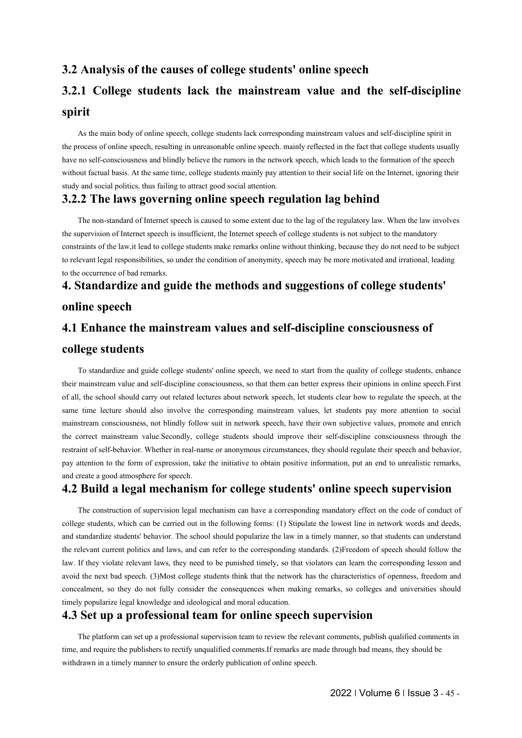# **3.2 Analysis of the causes of college students' online speech 3.2 Analysis of the causes of college students' online speech<br>
<b>3.2.1 College students lack the mainstream value and the self-discipline**<br> **spirit**<br>
As the main body of online speech, college students lack corresponding m **spirit**

Analysis of the causes of college students' online speech<br>
1. College students lack the mainstream value and the self-discipline<br>
rit<br>
As the main body of online speech, college students lack corresponding mainstream valu **3.2 Analysis of the causes of college students' online speech,<br>
3.2.1 College students lack the mainstream value and the self-discipline<br>
spirit<br>
As the main body of online speech, college students lack corresponding mai 3.2 Analysis of the causes of college students' online speech**<br> **3.2.1 College students lack the mainstream value and the self-discipline**<br> **spirit**<br>
As the main body of online speech, college students lack corresponding 3.2 Analysis of the causes of college students' online speech<br>3.2.1 College students lack the mainstream value and the self-discipline<br>spirit<br>As the main body of online speech, college students lack corresponding mainstrea **S.2 Analysis of the causes of college students' online speech**<br> **S.2.1 College students lack the mainstream value and t**<br> **spirit**<br>
As the main body of online speech, college students lack corresponding mainstream values **3.2 Analysis of the causes of college students' online speech <br>
<b>3.2.1 College students lack the mainstream value and the self-discipline**<br> **spirit**<br>
As the main body of online speech, college students lack corresponding **rit**<br> **As the main body of online speech, college students lack corresponding mainstream values and self-discipline spirit in<br>
rocess of online speech, resulting in unreasonable online speech. mainly reflected in the fact** The subsection of online speech, college students lack corresponding mainstream values and self-discipline spirit in<br>the process of online speech, resulting in unreasonable online speech. mainly reflected in the fact that

As the main body of online speech, college students lack corresponding mainstream values and self-discipline spirit in<br>the process of online speech, resulting in unreasonable online speech. mainly reflected in the fact tha the process of online speech, resulting in unreasonable online speech. mainly reflected in the fact that college students usually<br>have no self-consciousness and blindly believe the rumors in the network speech, which leads have no self-consciousness and blindly believe the rumors in th<br>without factual basis. At the same time, college students mainly<br>study and social politics, thus failing to attract good social atten<br>3.2.2 The laws governing **4. Standardize and guide the methods and suggestions of college students'**<br> **4. Standardize and guide the methods** and subsequent in the method of the method of the method in the fact that college students usually<br>
the me As the main body of online speech, college students lack correspond<br>the process of online speech, resulting in unreasonable online speech. m<br>have no self-consciousness and blindly believe the rumors in the networ<br>without f the process of online speech, resulting in unreasonable online speech, mainly reflected in the fiart that college students ussully<br>have no self-consciousness and bilindly believe the unmors in the network speech, which lea without factual basis. At the same time, college students mainly pay atter<br>study and social politics, thus failing to attract good social attention.<br>**3.2.2 The laws governing online speech regu**<br>The non-standard of Interne

Evant legal responsibilities, so under the condition of anonymity, speech may be more motivated and irrational, leading<br> **Standardize and guide the methods and suggestions of college students'**<br> **Ine speech**<br> **Enhance the** to the occurrence of bad remarks.<br> **4. Standardize and guide the methods and suggestions of college students'**<br> **4.1 Enhance the mainstream values and self-discipline consciousness of<br>
college students**<br>
To standardize and **4. Standardize and guide the methods and suggestions of college students'**<br> **4.1 Enhance the mainstream values and self-discipline consciousness of**<br> **college students**<br>
To standardize and guide college students' online s **Example 18 and Solution Constrained Also involve the mainstream values and self-discipline consciousness of college students**<br>To standardize and guide college students' online speech, we need to start from the quality of **4.1 Enhance the mainstream values and self-discipline consciousness of**<br> **4.1 Enhance the mainstream value college students' online speech, we need to start from the quality of college students, enhance**<br>
their mainstream **4.1 Enhance the mainstream values and self-discipline consciousness of**<br> **college students**<br>
To standardize and guide college students' online speech, we need to start from the quality of college students, enhance<br>
their The students<br>To standardize and guide college students' online speech, we need to start from the quality of college students, enhance<br>their mainstream value and self-discipline consciousness, so that them can better expres **college students**<br>To standardize and guide college students' online speech, we need to start from the quality of college students, enhance<br>their mainstream value and self-discipline consciousness, so that them can better To standardize and guide college students' online speech, we need<br>their mainstream value and self-discipline consciousness, so that them c<br>of all, the school should carry out related lectures about network speech<br>same time **4.1 Enhance the mainstream values and self-discipline consciousness of college students**<br>**4.1 Enhance the mainstream values and self-discipline consciousness, so that then can better express their opinions in online speec** I, the school should carry out related lectures about network speech, let students clear how to regulate the speech, at the time lecture should also involve the corresponding mainstream values, let students pay more attent same time lecture should also involve the corresponding mainstream values, let students pay more attention to social<br>mainstream consciousness, not blindly follow suit in network speech, have their own subjective values, pr

(2)Freedom of speech should follow the<br>s can learn the corresponding lesson and<br>characteristics of openness, freedom and<br>**NAMAS**, so colleges and universities should<br>**NAMAS**<br>**NAMAS**<br>*Q***<b>PVISION**<br>comments, publish qualifie mainstream consciousness, not blindly follow suit in network speech, have their own subjective values, promote and enrich<br>the correct mainstream value.Secondly, college students should improve their self-discipline conscio the correct mainstream value.Secondly, college students should improve their self-discipline consciousness through the restraint of self-behavior. Whether in real-name or anonymous circumstances, they should regulate their restraint of self-behavior. Whether in real-name or anonymous circumstances, they should regulate their speech and behavior,<br>pay attention to the form of expression, take the initiative to obtain positive information, put pay attention to the form of expression, take the initiative to obtain positive information, put an end to unrealistic remarks, and create a good atmosphere for speech.<br> **4.2 Build a legal mechanism for college students' o** and create a good atmosphere for speech.<br> **4.2 Build a legal mechanism for college students' online speech supervision**<br>
The construction of supervision legal mechanism can have a corresponding mandatory effect on the code **4.2 Build a legal mechanism for college students' online speed**<br>The construction of supervision legal mechanism can have a corresponding mandatory effect college students, which can be carried out in the following forms: the correct mainstream value.Secondly, college students should improve their self-discipline consciousness through the restraint of self-behavior. Whether in real-name or anonymous circumstances, they should regulate their ge students, which can be carried out in the following forms: (1) Stipulate the lowest line in network words and deeds, standardize students' behavior. The school should popularize the law in a timely manner, so that stude and standardize students' behavior. The school should popularize the law in a timely manner, so that students can understand<br>the relevant current politics and laws, and can refer to the corresponding standards. (2)Freedom the relevant current politics and laws, and can refer to the corresponding standards. (2)Freedom of speech sholaw. If they violate relevant laws, they need to be punished timely, so that violators can learn the corresponda